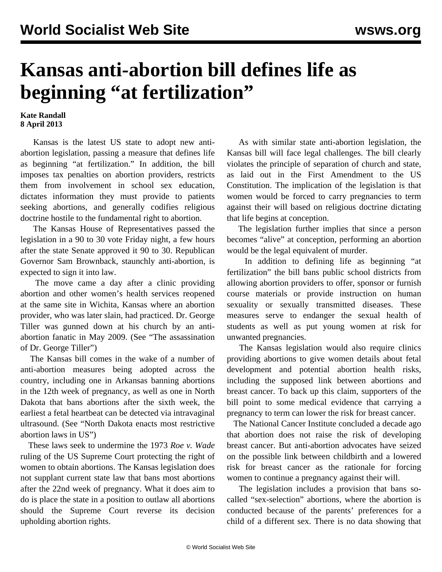## **Kansas anti-abortion bill defines life as beginning "at fertilization"**

## **Kate Randall 8 April 2013**

 Kansas is the latest US state to adopt new antiabortion legislation, passing a measure that defines life as beginning "at fertilization." In addition, the bill imposes tax penalties on abortion providers, restricts them from involvement in school sex education, dictates information they must provide to patients seeking abortions, and generally codifies religious doctrine hostile to the fundamental right to abortion.

 The Kansas House of Representatives passed the legislation in a 90 to 30 vote Friday night, a few hours after the state Senate approved it 90 to 30. Republican Governor Sam Brownback, staunchly anti-abortion, is expected to sign it into law.

 The move came a day after a clinic providing abortion and other women's health services reopened at the same site in Wichita, Kansas where an abortion provider, who was later slain, had practiced. Dr. George Tiller was gunned down at his church by an antiabortion fanatic in May 2009. (See "[The assassination](/en/articles/2009/06/pers-j03.html) [of Dr. George Tiller"](/en/articles/2009/06/pers-j03.html))

 The Kansas bill comes in the wake of a number of anti-abortion measures being adopted across the country, including one in Arkansas banning abortions in the 12th week of pregnancy, as well as one in North Dakota that bans abortions after the sixth week, the earliest a fetal heartbeat can be detected via intravaginal ultrasound. (See "[North Dakota enacts most restrictive](/en/articles/2013/03/29/abor-m29.html) [abortion laws in US](/en/articles/2013/03/29/abor-m29.html)")

 These laws seek to undermine the 1973 *Roe v. Wade* ruling of the US Supreme Court protecting the right of women to obtain abortions. The Kansas legislation does not supplant current state law that bans most abortions after the 22nd week of pregnancy. What it does aim to do is place the state in a position to outlaw all abortions should the Supreme Court reverse its decision upholding abortion rights.

 As with similar state anti-abortion legislation, the Kansas bill will face legal challenges. The bill clearly violates the principle of separation of church and state, as laid out in the First Amendment to the US Constitution. The implication of the legislation is that women would be forced to carry pregnancies to term against their will based on religious doctrine dictating that life begins at conception.

 The legislation further implies that since a person becomes "alive" at conception, performing an abortion would be the legal equivalent of murder.

 In addition to defining life as beginning "at fertilization" the bill bans public school districts from allowing abortion providers to offer, sponsor or furnish course materials or provide instruction on human sexuality or sexually transmitted diseases. These measures serve to endanger the sexual health of students as well as put young women at risk for unwanted pregnancies.

 The Kansas legislation would also require clinics providing abortions to give women details about fetal development and potential abortion health risks, including the supposed link between abortions and breast cancer. To back up this claim, supporters of the bill point to some medical evidence that carrying a pregnancy to term can lower the risk for breast cancer.

 The National Cancer Institute concluded a decade ago that abortion does not raise the risk of developing breast cancer. But anti-abortion advocates have seized on the possible link between childbirth and a lowered risk for breast cancer as the rationale for forcing women to continue a pregnancy against their will.

 The legislation includes a provision that bans socalled "sex-selection" abortions, where the abortion is conducted because of the parents' preferences for a child of a different sex. There is no data showing that